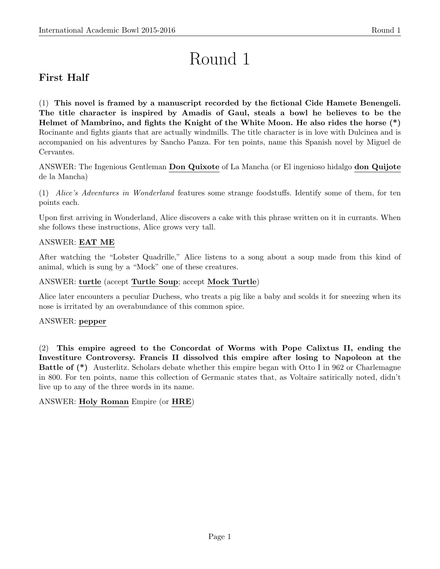# Round 1

# First Half

(1) This novel is framed by a manuscript recorded by the fictional Cide Hamete Benengeli. The title character is inspired by Amadis of Gaul, steals a bowl he believes to be the Helmet of Mambrino, and fights the Knight of the White Moon. He also rides the horse (\*) Rocinante and fights giants that are actually windmills. The title character is in love with Dulcinea and is accompanied on his adventures by Sancho Panza. For ten points, name this Spanish novel by Miguel de Cervantes.

ANSWER: The Ingenious Gentleman Don Quixote of La Mancha (or El ingenioso hidalgo don Quijote de la Mancha)

(1) Alice's Adventures in Wonderland features some strange foodstuffs. Identify some of them, for ten points each.

Upon first arriving in Wonderland, Alice discovers a cake with this phrase written on it in currants. When she follows these instructions, Alice grows very tall.

# ANSWER: EAT ME

After watching the "Lobster Quadrille," Alice listens to a song about a soup made from this kind of animal, which is sung by a "Mock" one of these creatures.

# ANSWER: turtle (accept Turtle Soup; accept Mock Turtle)

Alice later encounters a peculiar Duchess, who treats a pig like a baby and scolds it for sneezing when its nose is irritated by an overabundance of this common spice.

# ANSWER: pepper

(2) This empire agreed to the Concordat of Worms with Pope Calixtus II, ending the Investiture Controversy. Francis II dissolved this empire after losing to Napoleon at the Battle of (\*) Austerlitz. Scholars debate whether this empire began with Otto I in 962 or Charlemagne in 800. For ten points, name this collection of Germanic states that, as Voltaire satirically noted, didn't live up to any of the three words in its name.

# ANSWER: Holy Roman Empire (or HRE)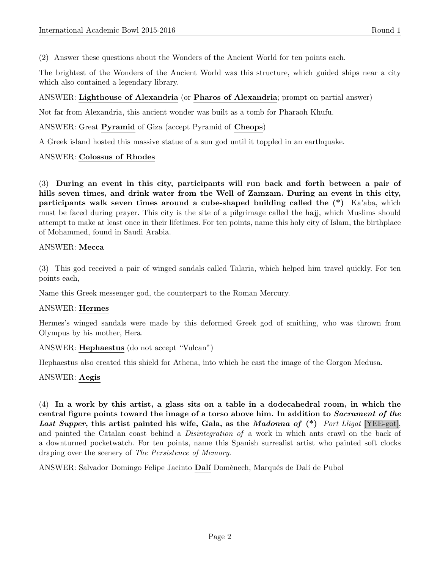(2) Answer these questions about the Wonders of the Ancient World for ten points each.

The brightest of the Wonders of the Ancient World was this structure, which guided ships near a city which also contained a legendary library.

# ANSWER: Lighthouse of Alexandria (or Pharos of Alexandria; prompt on partial answer)

Not far from Alexandria, this ancient wonder was built as a tomb for Pharaoh Khufu.

ANSWER: Great Pyramid of Giza (accept Pyramid of Cheops)

A Greek island hosted this massive statue of a sun god until it toppled in an earthquake.

#### ANSWER: Colossus of Rhodes

(3) During an event in this city, participants will run back and forth between a pair of hills seven times, and drink water from the Well of Zamzam. During an event in this city, participants walk seven times around a cube-shaped building called the (\*) Ka'aba, which must be faced during prayer. This city is the site of a pilgrimage called the hajj, which Muslims should attempt to make at least once in their lifetimes. For ten points, name this holy city of Islam, the birthplace of Mohammed, found in Saudi Arabia.

#### ANSWER: Mecca

(3) This god received a pair of winged sandals called Talaria, which helped him travel quickly. For ten points each,

Name this Greek messenger god, the counterpart to the Roman Mercury.

# ANSWER: Hermes

Hermes's winged sandals were made by this deformed Greek god of smithing, who was thrown from Olympus by his mother, Hera.

ANSWER: Hephaestus (do not accept "Vulcan")

Hephaestus also created this shield for Athena, into which he cast the image of the Gorgon Medusa.

# ANSWER: Aegis

(4) In a work by this artist, a glass sits on a table in a dodecahedral room, in which the central figure points toward the image of a torso above him. In addition to Sacrament of the Last Supper, this artist painted his wife, Gala, as the Madonna of  $(*)$  Port Lligat [YEE-got], and painted the Catalan coast behind a *Disintegration of* a work in which ants crawl on the back of a downturned pocketwatch. For ten points, name this Spanish surrealist artist who painted soft clocks draping over the scenery of The Persistence of Memory.

ANSWER: Salvador Domingo Felipe Jacinto **Dalí** Domènech, Marqués de Dalí de Pubol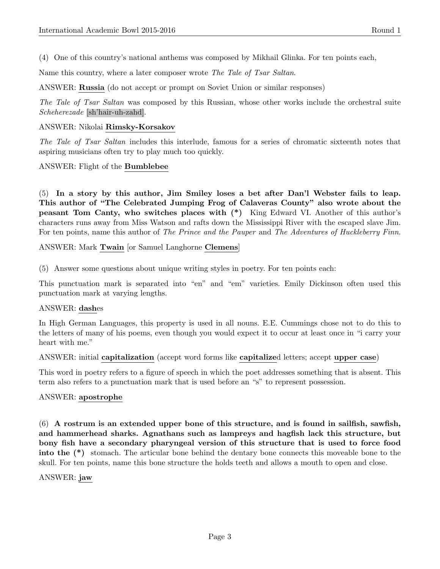(4) One of this country's national anthems was composed by Mikhail Glinka. For ten points each,

Name this country, where a later composer wrote The Tale of Tsar Saltan.

ANSWER: Russia (do not accept or prompt on Soviet Union or similar responses)

The Tale of Tsar Saltan was composed by this Russian, whose other works include the orchestral suite Scheherezade [sh'hair-uh-zahd].

#### ANSWER: Nikolai Rimsky-Korsakov

The Tale of Tsar Saltan includes this interlude, famous for a series of chromatic sixteenth notes that aspiring musicians often try to play much too quickly.

ANSWER: Flight of the Bumblebee

(5) In a story by this author, Jim Smiley loses a bet after Dan'l Webster fails to leap. This author of "The Celebrated Jumping Frog of Calaveras County" also wrote about the peasant Tom Canty, who switches places with (\*) King Edward VI. Another of this author's characters runs away from Miss Watson and rafts down the Mississippi River with the escaped slave Jim. For ten points, name this author of The Prince and the Pauper and The Adventures of Huckleberry Finn.

ANSWER: Mark Twain [or Samuel Langhorne Clemens]

(5) Answer some questions about unique writing styles in poetry. For ten points each:

This punctuation mark is separated into "en" and "em" varieties. Emily Dickinson often used this punctuation mark at varying lengths.

# ANSWER: dashes

In High German Languages, this property is used in all nouns. E.E. Cummings chose not to do this to the letters of many of his poems, even though you would expect it to occur at least once in "i carry your heart with me."

ANSWER: initial capitalization (accept word forms like capitalized letters; accept upper case)

This word in poetry refers to a figure of speech in which the poet addresses something that is absent. This term also refers to a punctuation mark that is used before an "s" to represent possession.

#### ANSWER: apostrophe

(6) A rostrum is an extended upper bone of this structure, and is found in sailfish, sawfish, and hammerhead sharks. Agnathans such as lampreys and hagfish lack this structure, but bony fish have a secondary pharyngeal version of this structure that is used to force food into the (\*) stomach. The articular bone behind the dentary bone connects this moveable bone to the skull. For ten points, name this bone structure the holds teeth and allows a mouth to open and close.

# ANSWER: jaw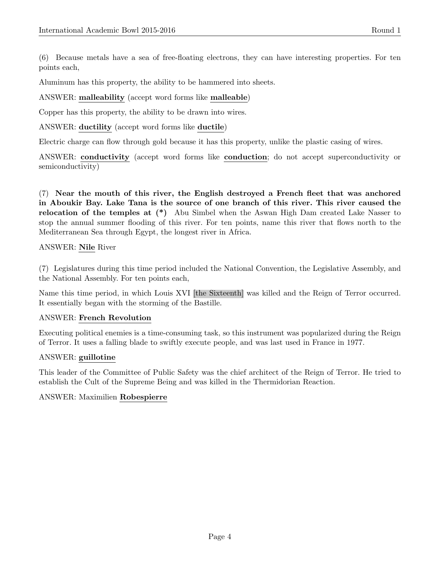Aluminum has this property, the ability to be hammered into sheets.

# ANSWER: malleability (accept word forms like malleable)

Copper has this property, the ability to be drawn into wires.

ANSWER: ductility (accept word forms like ductile)

Electric charge can flow through gold because it has this property, unlike the plastic casing of wires.

ANSWER: conductivity (accept word forms like conduction; do not accept superconductivity or semiconductivity)

(7) Near the mouth of this river, the English destroyed a French fleet that was anchored in Aboukir Bay. Lake Tana is the source of one branch of this river. This river caused the relocation of the temples at (\*) Abu Simbel when the Aswan High Dam created Lake Nasser to stop the annual summer flooding of this river. For ten points, name this river that flows north to the Mediterranean Sea through Egypt, the longest river in Africa.

ANSWER: Nile River

(7) Legislatures during this time period included the National Convention, the Legislative Assembly, and the National Assembly. For ten points each,

Name this time period, in which Louis XVI [the Sixteenth] was killed and the Reign of Terror occurred. It essentially began with the storming of the Bastille.

# ANSWER: French Revolution

Executing political enemies is a time-consuming task, so this instrument was popularized during the Reign of Terror. It uses a falling blade to swiftly execute people, and was last used in France in 1977.

# ANSWER: guillotine

This leader of the Committee of Public Safety was the chief architect of the Reign of Terror. He tried to establish the Cult of the Supreme Being and was killed in the Thermidorian Reaction.

# ANSWER: Maximilien Robespierre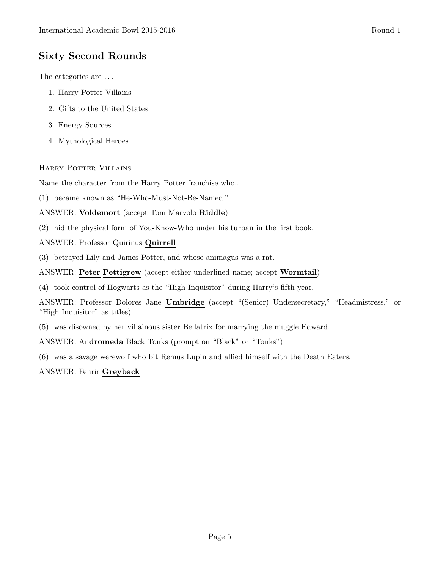# Sixty Second Rounds

The categories are . . .

- 1. Harry Potter Villains
- 2. Gifts to the United States
- 3. Energy Sources
- 4. Mythological Heroes

# Harry Potter Villains

Name the character from the Harry Potter franchise who...

(1) became known as "He-Who-Must-Not-Be-Named."

ANSWER: Voldemort (accept Tom Marvolo Riddle)

(2) hid the physical form of You-Know-Who under his turban in the first book.

ANSWER: Professor Quirinus Quirrell

(3) betrayed Lily and James Potter, and whose animagus was a rat.

ANSWER: Peter Pettigrew (accept either underlined name; accept Wormtail)

(4) took control of Hogwarts as the "High Inquisitor" during Harry's fifth year.

ANSWER: Professor Dolores Jane Umbridge (accept "(Senior) Undersecretary," "Headmistress," or "High Inquisitor" as titles)

(5) was disowned by her villainous sister Bellatrix for marrying the muggle Edward.

ANSWER: Andromeda Black Tonks (prompt on "Black" or "Tonks")

(6) was a savage werewolf who bit Remus Lupin and allied himself with the Death Eaters.

ANSWER: Fenrir Greyback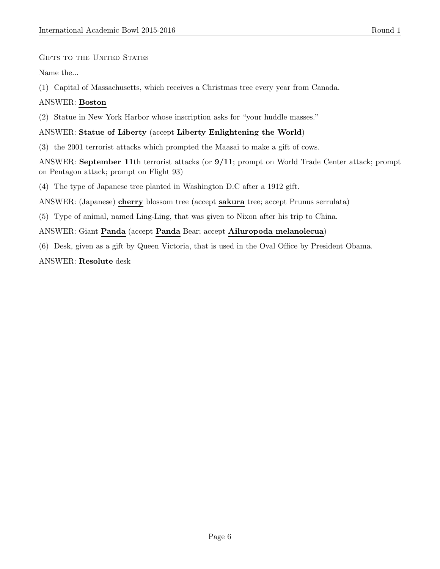GIFTS TO THE UNITED STATES

Name the...

(1) Capital of Massachusetts, which receives a Christmas tree every year from Canada.

# ANSWER: Boston

(2) Statue in New York Harbor whose inscription asks for "your huddle masses."

# ANSWER: Statue of Liberty (accept Liberty Enlightening the World)

(3) the 2001 terrorist attacks which prompted the Maasai to make a gift of cows.

ANSWER: September 11th terrorist attacks (or 9/11; prompt on World Trade Center attack; prompt on Pentagon attack; prompt on Flight 93)

(4) The type of Japanese tree planted in Washington D.C after a 1912 gift.

ANSWER: (Japanese) cherry blossom tree (accept sakura tree; accept Prunus serrulata)

(5) Type of animal, named Ling-Ling, that was given to Nixon after his trip to China.

ANSWER: Giant Panda (accept Panda Bear; accept Ailuropoda melanolecua)

(6) Desk, given as a gift by Queen Victoria, that is used in the Oval Office by President Obama. ANSWER: Resolute desk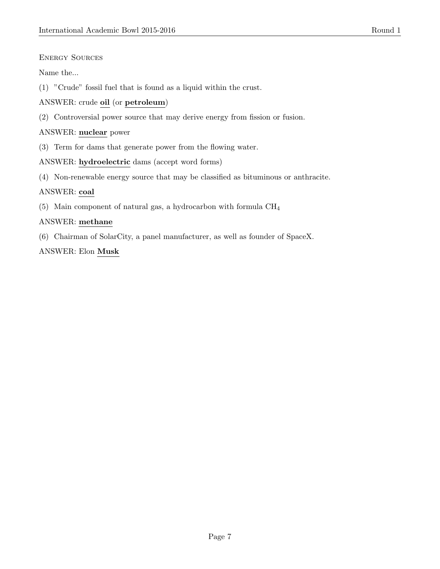# ENERGY SOURCES

Name the...

(1) "Crude" fossil fuel that is found as a liquid within the crust.

# ANSWER: crude oil (or petroleum)

(2) Controversial power source that may derive energy from fission or fusion.

# ANSWER: nuclear power

(3) Term for dams that generate power from the flowing water.

# ANSWER: hydroelectric dams (accept word forms)

(4) Non-renewable energy source that may be classified as bituminous or anthracite.

# ANSWER: coal

(5) Main component of natural gas, a hydrocarbon with formula CH<sup>4</sup>

# ANSWER: methane

(6) Chairman of SolarCity, a panel manufacturer, as well as founder of SpaceX.

# ANSWER: Elon Musk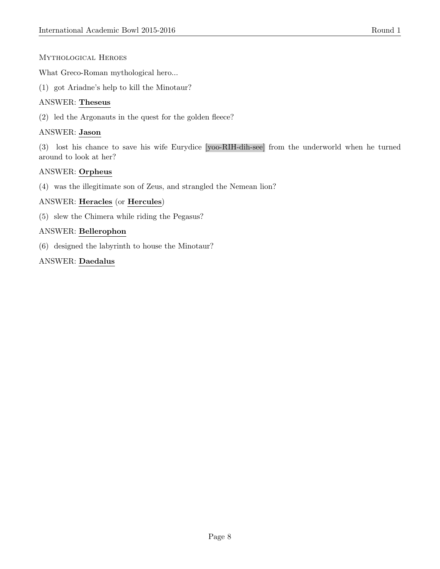# Mythological Heroes

What Greco-Roman mythological hero...

(1) got Ariadne's help to kill the Minotaur?

# ANSWER: Theseus

(2) led the Argonauts in the quest for the golden fleece?

# ANSWER: Jason

(3) lost his chance to save his wife Eurydice [yoo-RIH-dih-see] from the underworld when he turned around to look at her?

# ANSWER: Orpheus

(4) was the illegitimate son of Zeus, and strangled the Nemean lion?

# ANSWER: Heracles (or Hercules)

(5) slew the Chimera while riding the Pegasus?

# ANSWER: Bellerophon

(6) designed the labyrinth to house the Minotaur?

# ANSWER: Daedalus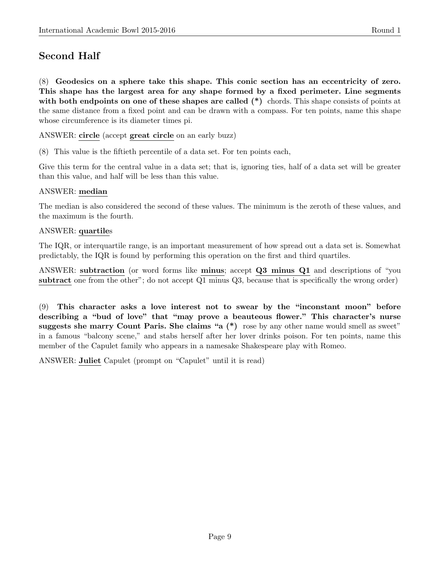# Second Half

(8) Geodesics on a sphere take this shape. This conic section has an eccentricity of zero. This shape has the largest area for any shape formed by a fixed perimeter. Line segments with both endpoints on one of these shapes are called (\*) chords. This shape consists of points at the same distance from a fixed point and can be drawn with a compass. For ten points, name this shape whose circumference is its diameter times pi.

ANSWER: circle (accept great circle on an early buzz)

(8) This value is the fiftieth percentile of a data set. For ten points each,

Give this term for the central value in a data set; that is, ignoring ties, half of a data set will be greater than this value, and half will be less than this value.

# ANSWER: median

The median is also considered the second of these values. The minimum is the zeroth of these values, and the maximum is the fourth.

# ANSWER: quartiles

The IQR, or interquartile range, is an important measurement of how spread out a data set is. Somewhat predictably, the IQR is found by performing this operation on the first and third quartiles.

ANSWER: subtraction (or word forms like minus; accept Q3 minus Q1 and descriptions of "you subtract one from the other"; do not accept Q1 minus Q3, because that is specifically the wrong order)

(9) This character asks a love interest not to swear by the "inconstant moon" before describing a "bud of love" that "may prove a beauteous flower." This character's nurse suggests she marry Count Paris. She claims "a  $(*)$  rose by any other name would smell as sweet" in a famous "balcony scene," and stabs herself after her lover drinks poison. For ten points, name this member of the Capulet family who appears in a namesake Shakespeare play with Romeo.

ANSWER: Juliet Capulet (prompt on "Capulet" until it is read)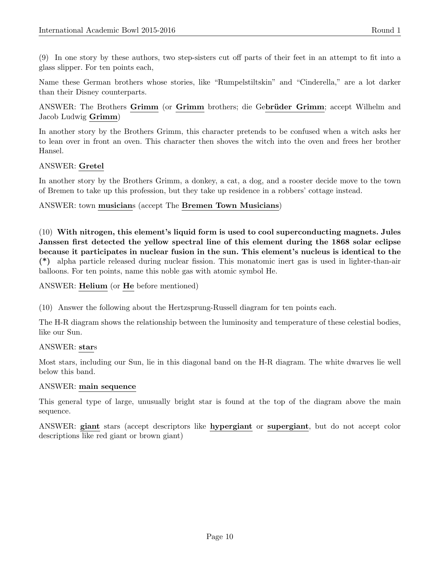(9) In one story by these authors, two step-sisters cut off parts of their feet in an attempt to fit into a glass slipper. For ten points each,

Name these German brothers whose stories, like "Rumpelstiltskin" and "Cinderella," are a lot darker than their Disney counterparts.

ANSWER: The Brothers Grimm (or Grimm brothers; die Gebrüder Grimm; accept Wilhelm and Jacob Ludwig Grimm)

In another story by the Brothers Grimm, this character pretends to be confused when a witch asks her to lean over in front an oven. This character then shoves the witch into the oven and frees her brother Hansel.

# ANSWER: Gretel

In another story by the Brothers Grimm, a donkey, a cat, a dog, and a rooster decide move to the town of Bremen to take up this profession, but they take up residence in a robbers' cottage instead.

#### ANSWER: town musicians (accept The Bremen Town Musicians)

(10) With nitrogen, this element's liquid form is used to cool superconducting magnets. Jules Janssen first detected the yellow spectral line of this element during the 1868 solar eclipse because it participates in nuclear fusion in the sun. This element's nucleus is identical to the (\*) alpha particle released during nuclear fission. This monatomic inert gas is used in lighter-than-air balloons. For ten points, name this noble gas with atomic symbol He.

#### ANSWER: Helium (or He before mentioned)

(10) Answer the following about the Hertzsprung-Russell diagram for ten points each.

The H-R diagram shows the relationship between the luminosity and temperature of these celestial bodies, like our Sun.

#### ANSWER: stars

Most stars, including our Sun, lie in this diagonal band on the H-R diagram. The white dwarves lie well below this band.

#### ANSWER: main sequence

This general type of large, unusually bright star is found at the top of the diagram above the main sequence.

ANSWER: giant stars (accept descriptors like hypergiant or supergiant, but do not accept color descriptions like red giant or brown giant)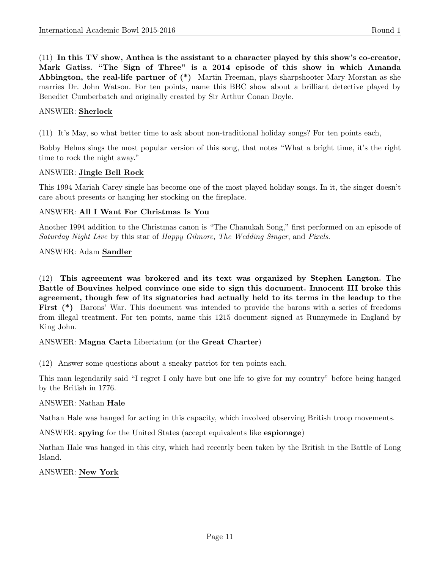(11) In this TV show, Anthea is the assistant to a character played by this show's co-creator, Mark Gatiss. "The Sign of Three" is a 2014 episode of this show in which Amanda **Abbington, the real-life partner of**  $(*)$  Martin Freeman, plays sharpshooter Mary Morstan as she marries Dr. John Watson. For ten points, name this BBC show about a brilliant detective played by Benedict Cumberbatch and originally created by Sir Arthur Conan Doyle.

#### ANSWER: Sherlock

(11) It's May, so what better time to ask about non-traditional holiday songs? For ten points each,

Bobby Helms sings the most popular version of this song, that notes "What a bright time, it's the right time to rock the night away."

#### ANSWER: Jingle Bell Rock

This 1994 Mariah Carey single has become one of the most played holiday songs. In it, the singer doesn't care about presents or hanging her stocking on the fireplace.

#### ANSWER: All I Want For Christmas Is You

Another 1994 addition to the Christmas canon is "The Chanukah Song," first performed on an episode of Saturday Night Live by this star of Happy Gilmore, The Wedding Singer, and Pixels.

#### ANSWER: Adam Sandler

(12) This agreement was brokered and its text was organized by Stephen Langton. The Battle of Bouvines helped convince one side to sign this document. Innocent III broke this agreement, though few of its signatories had actually held to its terms in the leadup to the First (\*) Barons' War. This document was intended to provide the barons with a series of freedoms from illegal treatment. For ten points, name this 1215 document signed at Runnymede in England by King John.

ANSWER: Magna Carta Libertatum (or the Great Charter)

(12) Answer some questions about a sneaky patriot for ten points each.

This man legendarily said "I regret I only have but one life to give for my country" before being hanged by the British in 1776.

# ANSWER: Nathan Hale

Nathan Hale was hanged for acting in this capacity, which involved observing British troop movements.

ANSWER: spying for the United States (accept equivalents like espionage)

Nathan Hale was hanged in this city, which had recently been taken by the British in the Battle of Long Island.

ANSWER: New York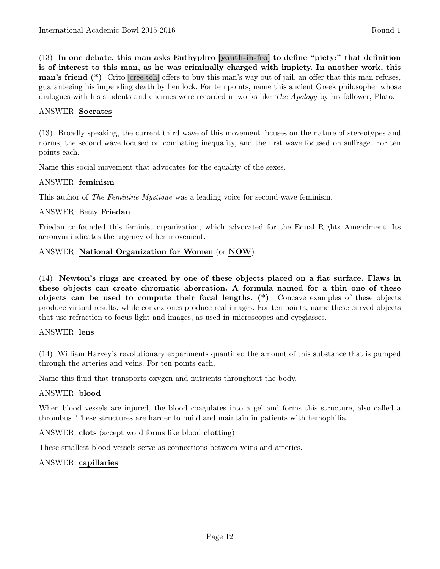(13) In one debate, this man asks Euthyphro [youth-ih-fro] to define "piety;" that definition is of interest to this man, as he was criminally charged with impiety. In another work, this man's friend (\*) Crito [cree-toh] offers to buy this man's way out of jail, an offer that this man refuses, guaranteeing his impending death by hemlock. For ten points, name this ancient Greek philosopher whose dialogues with his students and enemies were recorded in works like *The Apology* by his follower, Plato.

#### ANSWER: Socrates

(13) Broadly speaking, the current third wave of this movement focuses on the nature of stereotypes and norms, the second wave focused on combating inequality, and the first wave focused on suffrage. For ten points each,

Name this social movement that advocates for the equality of the sexes.

#### ANSWER: feminism

This author of *The Feminine Mystique* was a leading voice for second-wave feminism.

#### ANSWER: Betty Friedan

Friedan co-founded this feminist organization, which advocated for the Equal Rights Amendment. Its acronym indicates the urgency of her movement.

#### ANSWER: National Organization for Women (or NOW)

(14) Newton's rings are created by one of these objects placed on a flat surface. Flaws in these objects can create chromatic aberration. A formula named for a thin one of these objects can be used to compute their focal lengths. (\*) Concave examples of these objects produce virtual results, while convex ones produce real images. For ten points, name these curved objects that use refraction to focus light and images, as used in microscopes and eyeglasses.

#### ANSWER: lens

(14) William Harvey's revolutionary experiments quantified the amount of this substance that is pumped through the arteries and veins. For ten points each,

Name this fluid that transports oxygen and nutrients throughout the body.

#### ANSWER: blood

When blood vessels are injured, the blood coagulates into a gel and forms this structure, also called a thrombus. These structures are harder to build and maintain in patients with hemophilia.

ANSWER: clots (accept word forms like blood clotting)

These smallest blood vessels serve as connections between veins and arteries.

# ANSWER: capillaries